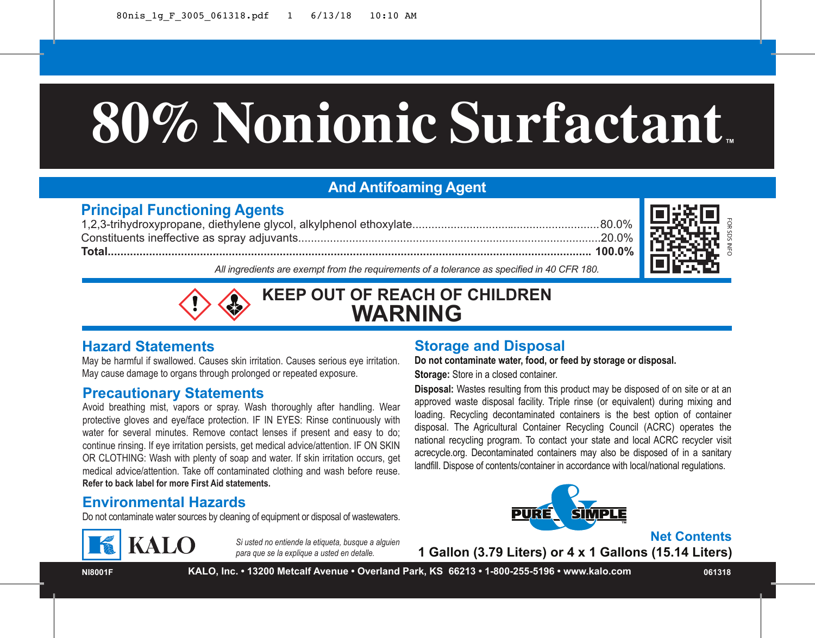# **80%Nonionic Surfactant ™**

# **And Antifoaming Agent**

#### **Principal Functioning Agents**

1,2,3-trihydroxypropane, diethylene glycol, alkylphenol ethoxylate...........................................................80.0% Constituents ineffective as spray adjuvants...............................................................................................20.0% **Total........................................................................................................................................................ 100.0%**



*All ingredients are exempt from the requirements of a tolerance as specified in 40 CFR 180.*



**KEEP OUT OF REACH OF CHILDREN WARNING**

#### **Hazard Statements**

May be harmful if swallowed. Causes skin irritation. Causes serious eye irritation. May cause damage to organs through prolonged or repeated exposure.

#### **Precautionary Statements**

Avoid breathing mist, vapors or spray. Wash thoroughly after handling. Wear protective gloves and eye/face protection. IF IN EYES: Rinse continuously with water for several minutes. Remove contact lenses if present and easy to do; continue rinsing. If eye irritation persists, get medical advice/attention. IF ON SKIN OR CLOTHING: Wash with plenty of soap and water. If skin irritation occurs, get medical advice/attention. Take off contaminated clothing and wash before reuse. **Refer to back label for more First Aid statements.**

#### **Environmental Hazards**

Do not contaminate water sources by cleaning of equipment or disposal of wastewaters.



*Si usted no entiende la etiqueta, busque a alguien para que se la explique a usted en detalle.*

## **Storage and Disposal**

**Do not contaminate water, food, or feed by storage or disposal. Storage:** Store in a closed container.

1 Gallon (3.79 Liters) or 4 x 1 Gallons (15.14 Liters)<br>
1 Gallon (3.79 Liters) or 4 x 1 Gallons (15.14 Liters)<br>
1 Gallon (3.79 Liters) or 4 x 1 Gallons (15.14 Liters)<br>
1 Gallon (3.79 Liters) or 4 x 1 Gallons (15.14 Liters) **Disposal:** Wastes resulting from this product may be disposed of on site or at an approved waste disposal facility. Triple rinse (or equivalent) during mixing and loading. Recycling decontaminated containers is the best option of container disposal. The Agricultural Container Recycling Council (ACRC) operates the national recycling program. To contact your state and local ACRC recycler visit acrecycle.org. Decontaminated containers may also be disposed of in a sanitary landfill. Dispose of contents/container in accordance with local/national regulations.



**Net Contents**<br>1 Gallon (3.79 Liters) or 4 x 1 Gallons (15.14 Liters)

**NI8001F**

**KALO, Inc. • 13200 Metcalf Avenue • Overland Park, KS 66213 • 1-800-255-5196 • www.kalo.com 061318**